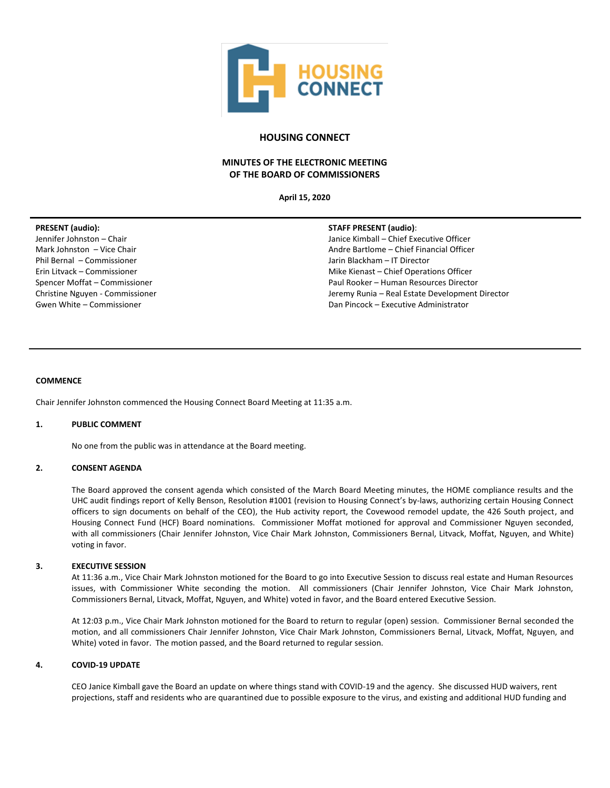

# **HOUSING CONNECT**

# **MINUTES OF THE ELECTRONIC MEETING OF THE BOARD OF COMMISSIONERS**

**April 15, 2020**

## **PRESENT (audio):**

Jennifer Johnston – Chair Mark Johnston – Vice Chair Phil Bernal – Commissioner Erin Litvack – Commissioner Spencer Moffat – Commissioner Christine Nguyen - Commissioner Gwen White – Commissioner

### **STAFF PRESENT (audio)**:

Janice Kimball – Chief Executive Officer Andre Bartlome – Chief Financial Officer Jarin Blackham – IT Director Mike Kienast – Chief Operations Officer Paul Rooker – Human Resources Director Jeremy Runia – Real Estate Development Director Dan Pincock – Executive Administrator

### **COMMENCE**

Chair Jennifer Johnston commenced the Housing Connect Board Meeting at 11:35 a.m.

### **1. PUBLIC COMMENT**

No one from the public was in attendance at the Board meeting.

## **2. CONSENT AGENDA**

The Board approved the consent agenda which consisted of the March Board Meeting minutes, the HOME compliance results and the UHC audit findings report of Kelly Benson, Resolution #1001 (revision to Housing Connect's by-laws, authorizing certain Housing Connect officers to sign documents on behalf of the CEO), the Hub activity report, the Covewood remodel update, the 426 South project, and Housing Connect Fund (HCF) Board nominations. Commissioner Moffat motioned for approval and Commissioner Nguyen seconded, with all commissioners (Chair Jennifer Johnston, Vice Chair Mark Johnston, Commissioners Bernal, Litvack, Moffat, Nguyen, and White) voting in favor.

### **3. EXECUTIVE SESSION**

At 11:36 a.m., Vice Chair Mark Johnston motioned for the Board to go into Executive Session to discuss real estate and Human Resources issues, with Commissioner White seconding the motion. All commissioners (Chair Jennifer Johnston, Vice Chair Mark Johnston, Commissioners Bernal, Litvack, Moffat, Nguyen, and White) voted in favor, and the Board entered Executive Session.

At 12:03 p.m., Vice Chair Mark Johnston motioned for the Board to return to regular (open) session. Commissioner Bernal seconded the motion, and all commissioners Chair Jennifer Johnston, Vice Chair Mark Johnston, Commissioners Bernal, Litvack, Moffat, Nguyen, and White) voted in favor. The motion passed, and the Board returned to regular session.

### **4. COVID-19 UPDATE**

CEO Janice Kimball gave the Board an update on where things stand with COVID-19 and the agency. She discussed HUD waivers, rent projections, staff and residents who are quarantined due to possible exposure to the virus, and existing and additional HUD funding and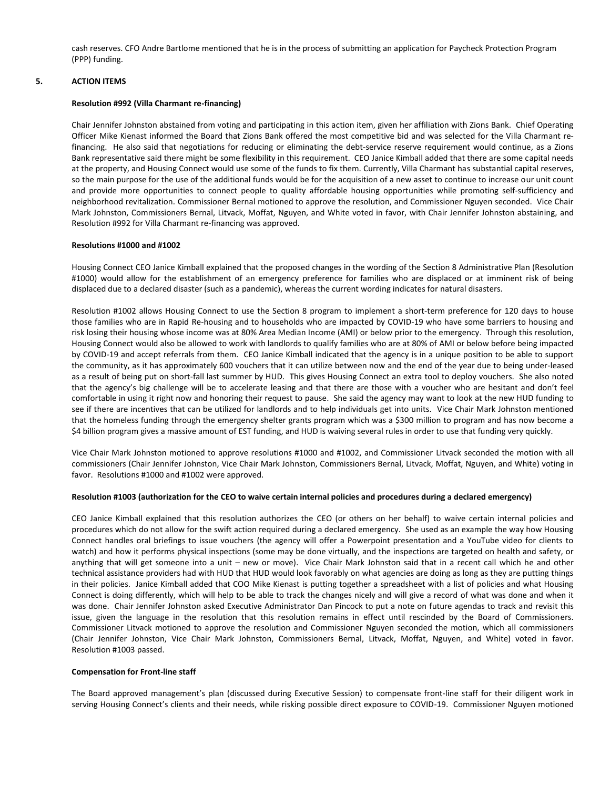cash reserves. CFO Andre Bartlome mentioned that he is in the process of submitting an application for Paycheck Protection Program (PPP) funding.

## **5. ACTION ITEMS**

## **Resolution #992 (Villa Charmant re-financing)**

Chair Jennifer Johnston abstained from voting and participating in this action item, given her affiliation with Zions Bank. Chief Operating Officer Mike Kienast informed the Board that Zions Bank offered the most competitive bid and was selected for the Villa Charmant refinancing. He also said that negotiations for reducing or eliminating the debt-service reserve requirement would continue, as a Zions Bank representative said there might be some flexibility in this requirement. CEO Janice Kimball added that there are some capital needs at the property, and Housing Connect would use some of the funds to fix them. Currently, Villa Charmant has substantial capital reserves, so the main purpose for the use of the additional funds would be for the acquisition of a new asset to continue to increase our unit count and provide more opportunities to connect people to quality affordable housing opportunities while promoting self-sufficiency and neighborhood revitalization. Commissioner Bernal motioned to approve the resolution, and Commissioner Nguyen seconded. Vice Chair Mark Johnston, Commissioners Bernal, Litvack, Moffat, Nguyen, and White voted in favor, with Chair Jennifer Johnston abstaining, and Resolution #992 for Villa Charmant re-financing was approved.

### **Resolutions #1000 and #1002**

Housing Connect CEO Janice Kimball explained that the proposed changes in the wording of the Section 8 Administrative Plan (Resolution #1000) would allow for the establishment of an emergency preference for families who are displaced or at imminent risk of being displaced due to a declared disaster (such as a pandemic), whereas the current wording indicates for natural disasters.

Resolution #1002 allows Housing Connect to use the Section 8 program to implement a short-term preference for 120 days to house those families who are in Rapid Re-housing and to households who are impacted by COVID-19 who have some barriers to housing and risk losing their housing whose income was at 80% Area Median Income (AMI) or below prior to the emergency. Through this resolution, Housing Connect would also be allowed to work with landlords to qualify families who are at 80% of AMI or below before being impacted by COVID-19 and accept referrals from them. CEO Janice Kimball indicated that the agency is in a unique position to be able to support the community, as it has approximately 600 vouchers that it can utilize between now and the end of the year due to being under-leased as a result of being put on short-fall last summer by HUD. This gives Housing Connect an extra tool to deploy vouchers. She also noted that the agency's big challenge will be to accelerate leasing and that there are those with a voucher who are hesitant and don't feel comfortable in using it right now and honoring their request to pause. She said the agency may want to look at the new HUD funding to see if there are incentives that can be utilized for landlords and to help individuals get into units. Vice Chair Mark Johnston mentioned that the homeless funding through the emergency shelter grants program which was a \$300 million to program and has now become a \$4 billion program gives a massive amount of EST funding, and HUD is waiving several rules in order to use that funding very quickly.

Vice Chair Mark Johnston motioned to approve resolutions #1000 and #1002, and Commissioner Litvack seconded the motion with all commissioners (Chair Jennifer Johnston, Vice Chair Mark Johnston, Commissioners Bernal, Litvack, Moffat, Nguyen, and White) voting in favor. Resolutions #1000 and #1002 were approved.

## **Resolution #1003 (authorization for the CEO to waive certain internal policies and procedures during a declared emergency)**

CEO Janice Kimball explained that this resolution authorizes the CEO (or others on her behalf) to waive certain internal policies and procedures which do not allow for the swift action required during a declared emergency. She used as an example the way how Housing Connect handles oral briefings to issue vouchers (the agency will offer a Powerpoint presentation and a YouTube video for clients to watch) and how it performs physical inspections (some may be done virtually, and the inspections are targeted on health and safety, or anything that will get someone into a unit – new or move). Vice Chair Mark Johnston said that in a recent call which he and other technical assistance providers had with HUD that HUD would look favorably on what agencies are doing as long as they are putting things in their policies. Janice Kimball added that COO Mike Kienast is putting together a spreadsheet with a list of policies and what Housing Connect is doing differently, which will help to be able to track the changes nicely and will give a record of what was done and when it was done. Chair Jennifer Johnston asked Executive Administrator Dan Pincock to put a note on future agendas to track and revisit this issue, given the language in the resolution that this resolution remains in effect until rescinded by the Board of Commissioners. Commissioner Litvack motioned to approve the resolution and Commissioner Nguyen seconded the motion, which all commissioners (Chair Jennifer Johnston, Vice Chair Mark Johnston, Commissioners Bernal, Litvack, Moffat, Nguyen, and White) voted in favor. Resolution #1003 passed.

### **Compensation for Front-line staff**

The Board approved management's plan (discussed during Executive Session) to compensate front-line staff for their diligent work in serving Housing Connect's clients and their needs, while risking possible direct exposure to COVID-19. Commissioner Nguyen motioned